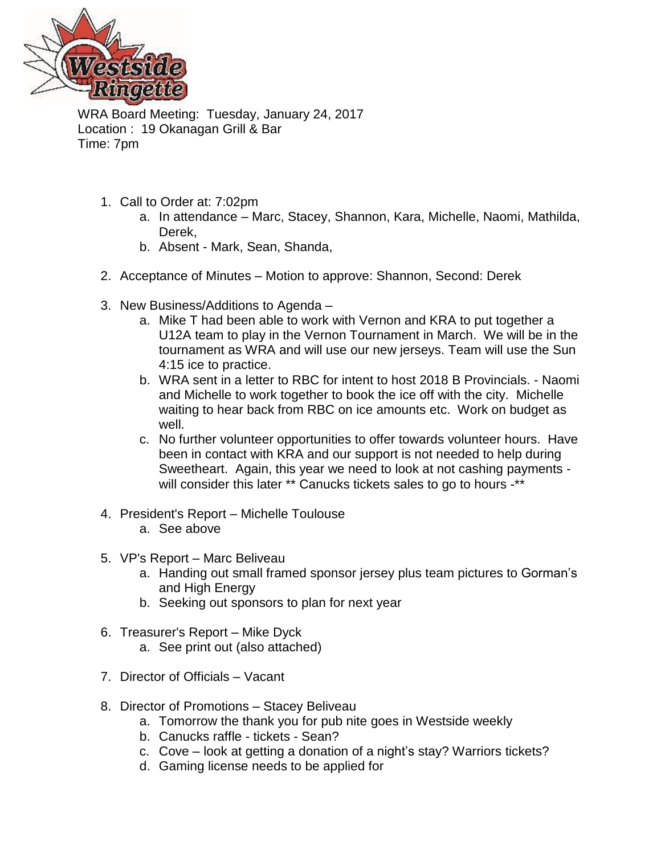

WRA Board Meeting: Tuesday, January 24, 2017 Location : 19 Okanagan Grill & Bar Time: 7pm

- 1. Call to Order at: 7:02pm
	- a. In attendance Marc, Stacey, Shannon, Kara, Michelle, Naomi, Mathilda, Derek,
	- b. Absent Mark, Sean, Shanda,
- 2. Acceptance of Minutes Motion to approve: Shannon, Second: Derek
- 3. New Business/Additions to Agenda
	- a. Mike T had been able to work with Vernon and KRA to put together a U12A team to play in the Vernon Tournament in March. We will be in the tournament as WRA and will use our new jerseys. Team will use the Sun 4:15 ice to practice.
	- b. WRA sent in a letter to RBC for intent to host 2018 B Provincials. Naomi and Michelle to work together to book the ice off with the city. Michelle waiting to hear back from RBC on ice amounts etc. Work on budget as well.
	- c. No further volunteer opportunities to offer towards volunteer hours. Have been in contact with KRA and our support is not needed to help during Sweetheart. Again, this year we need to look at not cashing payments will consider this later \*\* Canucks tickets sales to go to hours -\*\*
- 4. President's Report Michelle Toulouse
	- a. See above
- 5. VP's Report Marc Beliveau
	- a. Handing out small framed sponsor jersey plus team pictures to Gorman's and High Energy
	- b. Seeking out sponsors to plan for next year
- 6. Treasurer's Report Mike Dyck
	- a. See print out (also attached)
- 7. Director of Officials Vacant
- 8. Director of Promotions Stacey Beliveau
	- a. Tomorrow the thank you for pub nite goes in Westside weekly
	- b. Canucks raffle tickets Sean?
	- c. Cove look at getting a donation of a night's stay? Warriors tickets?
	- d. Gaming license needs to be applied for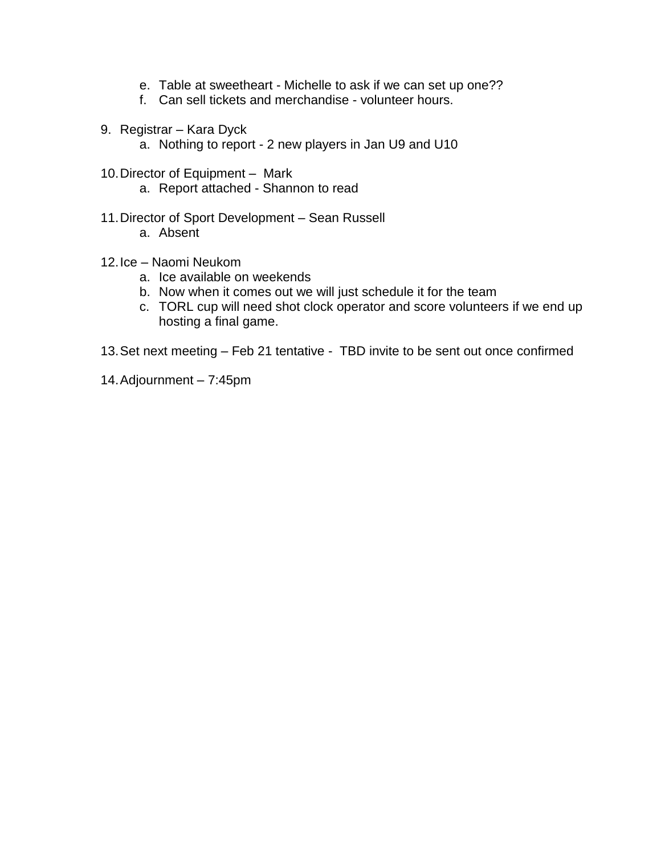- e. Table at sweetheart Michelle to ask if we can set up one??
- f. Can sell tickets and merchandise volunteer hours.
- 9. Registrar Kara Dyck
	- a. Nothing to report 2 new players in Jan U9 and U10
- 10.Director of Equipment *–* Mark
	- a. Report attached Shannon to read
- 11.Director of Sport Development Sean Russell
	- a. Absent
- 12.Ice Naomi Neukom
	- a. Ice available on weekends
	- b. Now when it comes out we will just schedule it for the team
	- c. TORL cup will need shot clock operator and score volunteers if we end up hosting a final game.
- 13.Set next meeting Feb 21 tentative TBD invite to be sent out once confirmed
- 14.Adjournment 7:45pm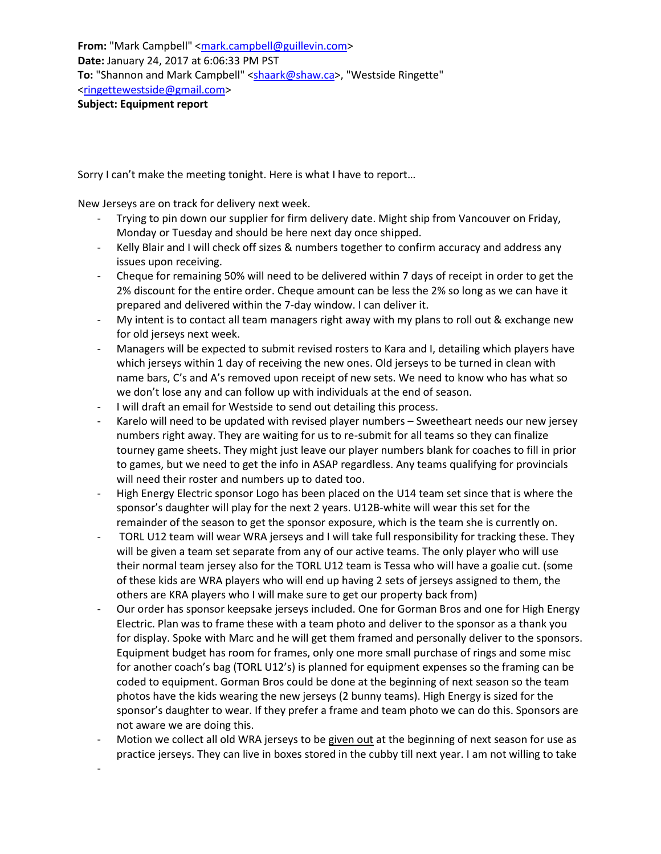Sorry I can't make the meeting tonight. Here is what I have to report…

New Jerseys are on track for delivery next week.

-

- Trying to pin down our supplier for firm delivery date. Might ship from Vancouver on Friday, Monday or Tuesday and should be here next day once shipped.
- Kelly Blair and I will check off sizes & numbers together to confirm accuracy and address any issues upon receiving.
- Cheque for remaining 50% will need to be delivered within 7 days of receipt in order to get the 2% discount for the entire order. Cheque amount can be less the 2% so long as we can have it prepared and delivered within the 7-day window. I can deliver it.
- My intent is to contact all team managers right away with my plans to roll out & exchange new for old jerseys next week.
- Managers will be expected to submit revised rosters to Kara and I, detailing which players have which jerseys within 1 day of receiving the new ones. Old jerseys to be turned in clean with name bars, C's and A's removed upon receipt of new sets. We need to know who has what so we don't lose any and can follow up with individuals at the end of season.
- I will draft an email for Westside to send out detailing this process.
- Karelo will need to be updated with revised player numbers Sweetheart needs our new jersey numbers right away. They are waiting for us to re-submit for all teams so they can finalize tourney game sheets. They might just leave our player numbers blank for coaches to fill in prior to games, but we need to get the info in ASAP regardless. Any teams qualifying for provincials will need their roster and numbers up to dated too.
- High Energy Electric sponsor Logo has been placed on the U14 team set since that is where the sponsor's daughter will play for the next 2 years. U12B-white will wear this set for the remainder of the season to get the sponsor exposure, which is the team she is currently on.
- TORL U12 team will wear WRA jerseys and I will take full responsibility for tracking these. They will be given a team set separate from any of our active teams. The only player who will use their normal team jersey also for the TORL U12 team is Tessa who will have a goalie cut. (some of these kids are WRA players who will end up having 2 sets of jerseys assigned to them, the others are KRA players who I will make sure to get our property back from)
- Our order has sponsor keepsake jerseys included. One for Gorman Bros and one for High Energy Electric. Plan was to frame these with a team photo and deliver to the sponsor as a thank you for display. Spoke with Marc and he will get them framed and personally deliver to the sponsors. Equipment budget has room for frames, only one more small purchase of rings and some misc for another coach's bag (TORL U12's) is planned for equipment expenses so the framing can be coded to equipment. Gorman Bros could be done at the beginning of next season so the team photos have the kids wearing the new jerseys (2 bunny teams). High Energy is sized for the sponsor's daughter to wear. If they prefer a frame and team photo we can do this. Sponsors are not aware we are doing this.
- Motion we collect all old WRA jerseys to be given out at the beginning of next season for use as practice jerseys. They can live in boxes stored in the cubby till next year. I am not willing to take